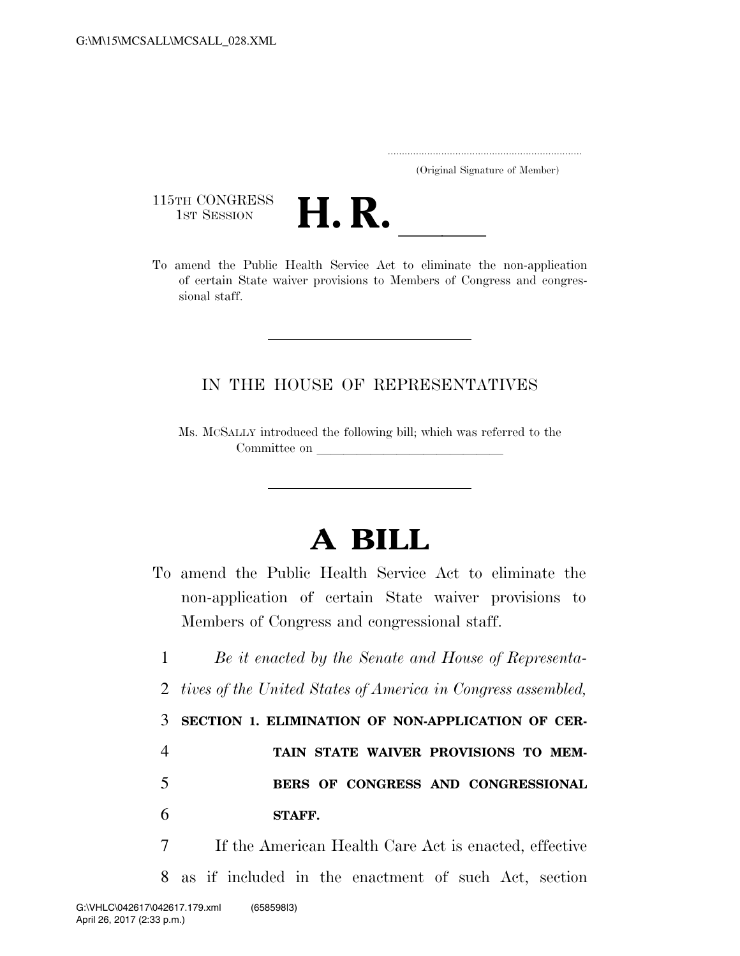..................................................................... (Original Signature of Member)

115TH CONGRESS<br>1st Session



115TH CONGRESS<br>1st SESSION<br>To amend the Public Health Service Act to eliminate the non-application of certain State waiver provisions to Members of Congress and congressional staff.

## IN THE HOUSE OF REPRESENTATIVES

Ms. MCSALLY introduced the following bill; which was referred to the Committee on

## **A BILL**

To amend the Public Health Service Act to eliminate the non-application of certain State waiver provisions to Members of Congress and congressional staff.

 *Be it enacted by the Senate and House of Representa- tives of the United States of America in Congress assembled,*  **SECTION 1. ELIMINATION OF NON-APPLICATION OF CER- TAIN STATE WAIVER PROVISIONS TO MEM- BERS OF CONGRESS AND CONGRESSIONAL**  6 **STAFF.** 

7 If the American Health Care Act is enacted, effective 8 as if included in the enactment of such Act, section